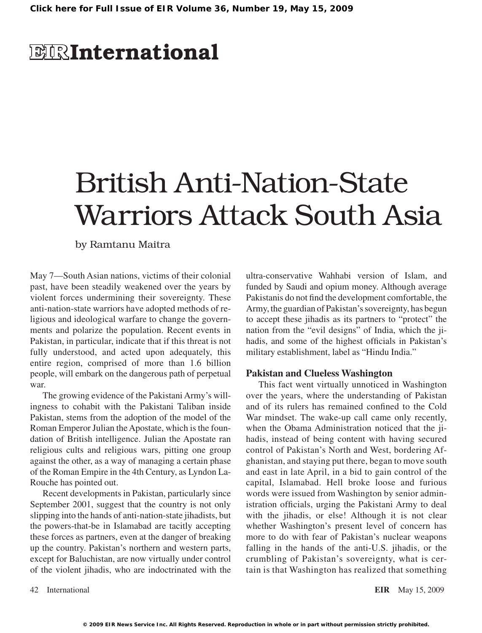# **EIRInternational**

# British Anti-Nation-State Warriors Attack South Asia

by Ramtanu Maitra

May 7—South Asian nations, victims of their colonial past, have been steadily weakened over the years by violent forces undermining their sovereignty. These anti-nation-state warriors have adopted methods of religious and ideological warfare to change the governments and polarize the population. Recent events in Pakistan, in particular, indicate that if this threat is not fully understood, and acted upon adequately, this entire region, comprised of more than 1.6 billion people, will embark on the dangerous path of perpetual war.

The growing evidence of the Pakistani Army's willingness to cohabit with the Pakistani Taliban inside Pakistan, stems from the adoption of the model of the Roman Emperor Julian the Apostate, which is the foundation of British intelligence. Julian the Apostate ran religious cults and religious wars, pitting one group against the other, as a way of managing a certain phase of the Roman Empire in the 4th Century, as Lyndon La-Rouche has pointed out.

Recent developments in Pakistan, particularly since September 2001, suggest that the country is not only slipping into the hands of anti-nation-state jihadists, but the powers-that-be in Islamabad are tacitly accepting these forces as partners, even at the danger of breaking up the country. Pakistan's northern and western parts, except for Baluchistan, are now virtually under control of the violent jihadis, who are indoctrinated with the

ultra-conservative Wahhabi version of Islam, and funded by Saudi and opium money. Although average Pakistanis do not find the development comfortable, the Army, the guardian of Pakistan'ssovereignty, has begun to accept these jihadis as its partners to "protect" the nation from the "evil designs" of India, which the jihadis, and some of the highest officials in Pakistan's military establishment, label as "Hindu India."

### **Pakistan and Clueless Washington**

This fact went virtually unnoticed in Washington over the years, where the understanding of Pakistan and of its rulers has remained confined to the Cold War mindset. The wake-up call came only recently, when the Obama Administration noticed that the jihadis, instead of being content with having secured control of Pakistan's North and West, bordering Afghanistan, and staying put there, began to move south and east in late April, in a bid to gain control of the capital, Islamabad. Hell broke loose and furious words were issued from Washington by senior administration officials, urging the Pakistani Army to deal with the jihadis, or else! Although it is not clear whether Washington's present level of concern has more to do with fear of Pakistan's nuclear weapons falling in the hands of the anti-U.S. jihadis, or the crumbling of Pakistan's sovereignty, what is certain is that Washington has realized that something

42 International **EIR** May 15, 2009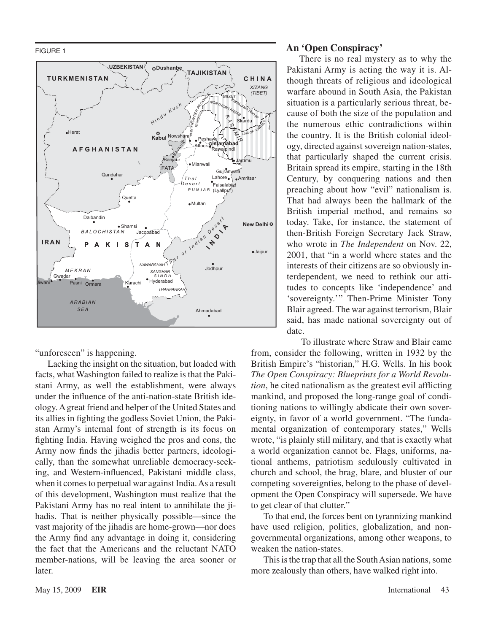FIGURE 1



"unforeseen" is happening.

Lacking the insight on the situation, but loaded with facts, what Washington failed to realize is that the Pakistani Army, as well the establishment, were always under the influence of the anti-nation-state British ideology.Agreat friend and helper of the United States and its allies in fighting the godless Soviet Union, the Pakistan Army's internal font of strength is its focus on fighting India. Having weighed the pros and cons, the Army now finds the jihadis better partners, ideologically, than the somewhat unreliable democracy-seeking, and Western-influenced, Pakistani middle class, when it comes to perpetual war against India. As a result of this development, Washington must realize that the Pakistani Army has no real intent to annihilate the jihadis. That is neither physically possible—since the vast majority of the jihadis are home-grown—nor does the Army find any advantage in doing it, considering the fact that the Americans and the reluctant NATO member-nations, will be leaving the area sooner or later.

#### **An 'Open Conspiracy'**

There is no real mystery as to why the Pakistani Army is acting the way it is. Although threats of religious and ideological warfare abound in South Asia, the Pakistan situation is a particularly serious threat, because of both the size of the population and the numerous ethic contradictions within the country. It is the British colonial ideology, directed against sovereign nation-states, that particularly shaped the current crisis. Britain spread its empire, starting in the 18th Century, by conquering nations and then preaching about how "evil" nationalism is. That had always been the hallmark of the British imperial method, and remains so today. Take, for instance, the statement of then-British Foreign Secretary Jack Straw, who wrote in *The Independent* on Nov. 22, 2001, that "in a world where states and the interests of their citizens are so obviously interdependent, we need to rethink our attitudes to concepts like 'independence' and 'sovereignty.'" Then-Prime Minister Tony Blair agreed. The war against terrorism, Blair said, has made national sovereignty out of date.

To illustrate where Straw and Blair came from, consider the following, written in 1932 by the British Empire's "historian," H.G. Wells. In his book *The Open Conspiracy: Blueprints for a World Revolution*, he cited nationalism as the greatest evil afflicting mankind, and proposed the long-range goal of conditioning nations to willingly abdicate their own sovereignty, in favor of a world government. "The fundamental organization of contemporary states," Wells wrote, "is plainly still military, and that is exactly what a world organization cannot be. Flags, uniforms, national anthems, patriotism sedulously cultivated in church and school, the brag, blare, and bluster of our competing sovereignties, belong to the phase of development the Open Conspiracy will supersede. We have to get clear of that clutter."

To that end, the forces bent on tyrannizing mankind have used religion, politics, globalization, and nongovernmental organizations, among other weapons, to weaken the nation-states.

This is the trap that all the South Asian nations, some more zealously than others, have walked right into.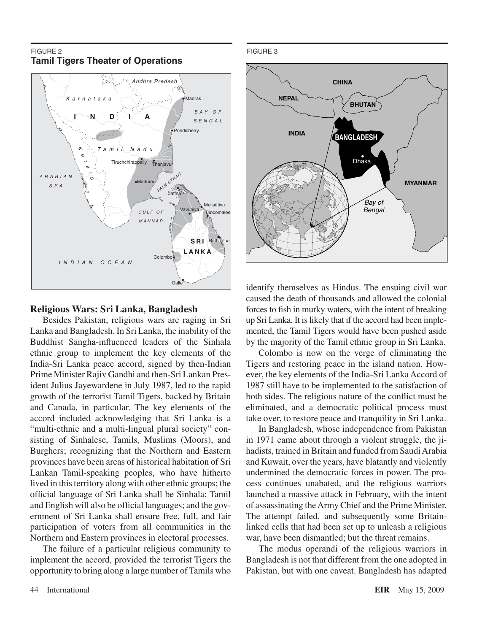#### FIGURE 2 **Tamil Tigers Theater of Operations**



## **Religious Wars: Sri Lanka, Bangladesh**

Besides Pakistan, religious wars are raging in Sri Lanka and Bangladesh. In Sri Lanka, the inability of the Buddhist Sangha-influenced leaders of the Sinhala ethnic group to implement the key elements of the India-Sri Lanka peace accord, signed by then-Indian Prime Minister Rajiv Gandhi and then-Sri Lankan President Julius Jayewardene in July 1987, led to the rapid growth of the terrorist Tamil Tigers, backed by Britain and Canada, in particular. The key elements of the accord included acknowledging that Sri Lanka is a "multi-ethnic and a multi-lingual plural society" consisting of Sinhalese, Tamils, Muslims (Moors), and Burghers; recognizing that the Northern and Eastern provinces have been areas of historical habitation of Sri Lankan Tamil-speaking peoples, who have hitherto lived in this territory along with other ethnic groups; the official language of Sri Lanka shall be Sinhala; Tamil and English will also be official languages; and the government of Sri Lanka shall ensure free, full, and fair participation of voters from all communities in the Northern and Eastern provinces in electoral processes.

The failure of a particular religious community to implement the accord, provided the terrorist Tigers the opportunity to bring along a large number ofTamils who



identify themselves as Hindus. The ensuing civil war caused the death of thousands and allowed the colonial forces to fish in murky waters, with the intent of breaking up Sri Lanka. It is likely that if the accord had been implemented, the Tamil Tigers would have been pushed aside by the majority of the Tamil ethnic group in Sri Lanka.

Colombo is now on the verge of eliminating the Tigers and restoring peace in the island nation. However, the key elements of the India-Sri Lanka Accord of 1987 still have to be implemented to the satisfaction of both sides. The religious nature of the conflict must be eliminated, and a democratic political process must take over, to restore peace and tranquility in Sri Lanka.

In Bangladesh, whose independence from Pakistan in 1971 came about through a violent struggle, the jihadists, trained in Britain and funded from Saudi Arabia and Kuwait, over the years, have blatantly and violently undermined the democratic forces in power. The process continues unabated, and the religious warriors launched a massive attack in February, with the intent of assassinating theArmy Chief and the Prime Minister. The attempt failed, and subsequently some Britainlinked cells that had been set up to unleash a religious war, have been dismantled; but the threat remains.

The modus operandi of the religious warriors in Bangladesh is not that different from the one adopted in Pakistan, but with one caveat. Bangladesh has adapted